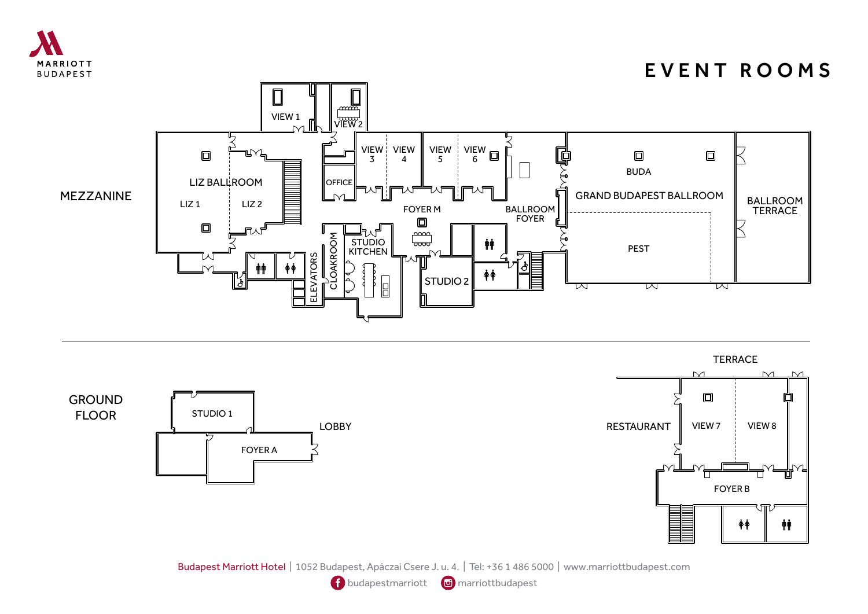

GROUND FLOOR

## EVENT ROOMS





Budapest Marriott Hotel | 1052 Budapest, Apáczai Csere J. u. 4. | Tel: +36 1 486 5000 | www.marriottbudapest.com

**f** budapestmarriott **a** marriottbudapest